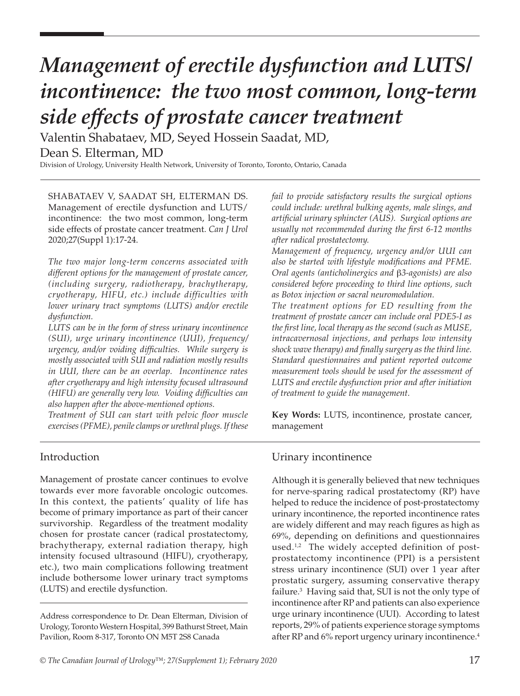Valentin Shabataev, MD, Seyed Hossein Saadat, MD, Dean S. Elterman, MD

Division of Urology, University Health Network, University of Toronto, Toronto, Ontario, Canada

SHABATAEV V, SAADAT SH, ELTERMAN DS. Management of erectile dysfunction and LUTS/ incontinence: the two most common, long-term side effects of prostate cancer treatment. *Can J Urol* 2020;27(Suppl 1):17-24.

*The two major long-term concerns associated with different options for the management of prostate cancer, (including surgery, radiotherapy, brachytherapy, cryotherapy, HIFU, etc.) include difficulties with lower urinary tract symptoms (LUTS) and/or erectile dysfunction.*

*LUTS can be in the form of stress urinary incontinence (SUI), urge urinary incontinence (UUI), frequency/ urgency, and/or voiding difficulties. While surgery is mostly associated with SUI and radiation mostly results in UUI, there can be an overlap. Incontinence rates after cryotherapy and high intensity focused ultrasound (HIFU) are generally very low. Voiding difficulties can also happen after the above-mentioned options.*

*Treatment of SUI can start with pelvic floor muscle exercises (PFME), penile clamps or urethral plugs. If these*  *fail to provide satisfactory results the surgical options could include: urethral bulking agents, male slings, and artificial urinary sphincter (AUS). Surgical options are usually not recommended during the first 6-12 months after radical prostatectomy.*

*Management of frequency, urgency and/or UUI can also be started with lifestyle modifications and PFME. Oral agents (anticholinergics and* β*3-agonists) are also considered before proceeding to third line options, such as Botox injection or sacral neuromodulation.*

*The treatment options for ED resulting from the treatment of prostate cancer can include oral PDE5-I as the first line, local therapy as the second (such as MUSE, intracavernosal injections, and perhaps low intensity shock wave therapy) and finally surgery as the third line. Standard questionnaires and patient reported outcome measurement tools should be used for the assessment of LUTS and erectile dysfunction prior and after initiation of treatment to guide the management.* 

**Key Words:** LUTS, incontinence, prostate cancer, management

## Introduction

Management of prostate cancer continues to evolve towards ever more favorable oncologic outcomes. In this context, the patients' quality of life has become of primary importance as part of their cancer survivorship. Regardless of the treatment modality chosen for prostate cancer (radical prostatectomy, brachytherapy, external radiation therapy, high intensity focused ultrasound (HIFU), cryotherapy, etc.), two main complications following treatment include bothersome lower urinary tract symptoms (LUTS) and erectile dysfunction.

#### Urinary incontinence

Although it is generally believed that new techniques for nerve-sparing radical prostatectomy (RP) have helped to reduce the incidence of post-prostatectomy urinary incontinence, the reported incontinence rates are widely different and may reach figures as high as 69%, depending on definitions and questionnaires used. $1,2$  The widely accepted definition of postprostatectomy incontinence (PPI) is a persistent stress urinary incontinence (SUI) over 1 year after prostatic surgery, assuming conservative therapy failure.3 Having said that, SUI is not the only type of incontinence after RP and patients can also experience urge urinary incontinence (UUI). According to latest reports, 29% of patients experience storage symptoms after RP and 6% report urgency urinary incontinence.<sup>4</sup>

Address correspondence to Dr. Dean Elterman, Division of Urology, Toronto Western Hospital, 399 Bathurst Street, Main Pavilion, Room 8-317, Toronto ON M5T 2S8 Canada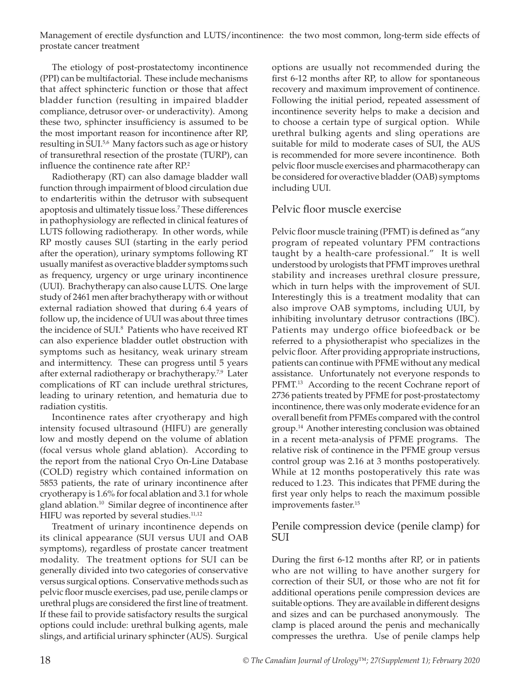The etiology of post-prostatectomy incontinence (PPI) can be multifactorial. These include mechanisms that affect sphincteric function or those that affect bladder function (resulting in impaired bladder compliance, detrusor over- or underactivity). Among these two, sphincter insufficiency is assumed to be the most important reason for incontinence after RP, resulting in SUI.<sup>5,6</sup> Many factors such as age or history of transurethral resection of the prostate (TURP), can influence the continence rate after RP.<sup>2</sup>

Radiotherapy (RT) can also damage bladder wall function through impairment of blood circulation due to endarteritis within the detrusor with subsequent apoptosis and ultimately tissue loss.7 These differences in pathophysiology are reflected in clinical features of LUTS following radiotherapy. In other words, while RP mostly causes SUI (starting in the early period after the operation), urinary symptoms following RT usually manifest as overactive bladder symptoms such as frequency, urgency or urge urinary incontinence (UUI). Brachytherapy can also cause LUTS. One large study of 2461 men after brachytherapy with or without external radiation showed that during 6.4 years of follow up, the incidence of UUI was about three times the incidence of SUI.<sup>8</sup> Patients who have received RT can also experience bladder outlet obstruction with symptoms such as hesitancy, weak urinary stream and intermittency. These can progress until 5 years after external radiotherapy or brachytherapy.<sup>7,9</sup> Later complications of RT can include urethral strictures, leading to urinary retention, and hematuria due to radiation cystitis.

Incontinence rates after cryotherapy and high intensity focused ultrasound (HIFU) are generally low and mostly depend on the volume of ablation (focal versus whole gland ablation). According to the report from the national Cryo On-Line Database (COLD) registry which contained information on 5853 patients, the rate of urinary incontinence after cryotherapy is 1.6% for focal ablation and 3.1 for whole gland ablation.<sup>10</sup> Similar degree of incontinence after HIFU was reported by several studies.<sup>11,12</sup>

Treatment of urinary incontinence depends on its clinical appearance (SUI versus UUI and OAB symptoms), regardless of prostate cancer treatment modality. The treatment options for SUI can be generally divided into two categories of conservative versus surgical options. Conservative methods such as pelvic floor muscle exercises, pad use, penile clamps or urethral plugs are considered the first line of treatment. If these fail to provide satisfactory results the surgical options could include: urethral bulking agents, male slings, and artificial urinary sphincter (AUS). Surgical

options are usually not recommended during the first 6-12 months after RP, to allow for spontaneous recovery and maximum improvement of continence. Following the initial period, repeated assessment of incontinence severity helps to make a decision and to choose a certain type of surgical option. While urethral bulking agents and sling operations are suitable for mild to moderate cases of SUI, the AUS is recommended for more severe incontinence. Both pelvic floor muscle exercises and pharmacotherapy can be considered for overactive bladder (OAB) symptoms including UUI.

# Pelvic floor muscle exercise

Pelvic floor muscle training (PFMT) is defined as "any program of repeated voluntary PFM contractions taught by a health-care professional." It is well understood by urologists that PFMT improves urethral stability and increases urethral closure pressure, which in turn helps with the improvement of SUI. Interestingly this is a treatment modality that can also improve OAB symptoms, including UUI, by inhibiting involuntary detrusor contractions (IBC). Patients may undergo office biofeedback or be referred to a physiotherapist who specializes in the pelvic floor. After providing appropriate instructions, patients can continue with PFME without any medical assistance. Unfortunately not everyone responds to PFMT.<sup>13</sup> According to the recent Cochrane report of 2736 patients treated by PFME for post-prostatectomy incontinence, there was only moderate evidence for an overall benefit from PFMEs compared with the control group.14 Another interesting conclusion was obtained in a recent meta-analysis of PFME programs. The relative risk of continence in the PFME group versus control group was 2.16 at 3 months postoperatively. While at 12 months postoperatively this rate was reduced to 1.23. This indicates that PFME during the first year only helps to reach the maximum possible improvements faster.15

## Penile compression device (penile clamp) for SUI

During the first 6-12 months after RP, or in patients who are not willing to have another surgery for correction of their SUI, or those who are not fit for additional operations penile compression devices are suitable options. They are available in different designs and sizes and can be purchased anonymously. The clamp is placed around the penis and mechanically compresses the urethra. Use of penile clamps help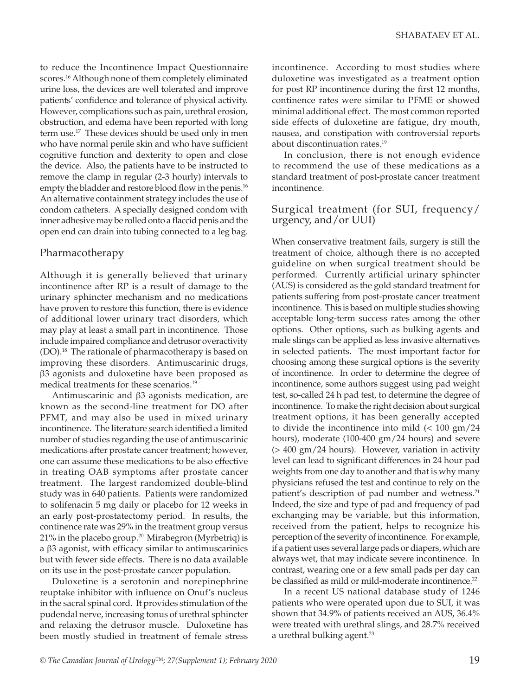to reduce the Incontinence Impact Questionnaire scores.<sup>16</sup> Although none of them completely eliminated urine loss, the devices are well tolerated and improve patients' confidence and tolerance of physical activity. However, complications such as pain, urethral erosion, obstruction, and edema have been reported with long term use.<sup>17</sup> These devices should be used only in men who have normal penile skin and who have sufficient cognitive function and dexterity to open and close the device. Also, the patients have to be instructed to remove the clamp in regular (2-3 hourly) intervals to empty the bladder and restore blood flow in the penis.<sup>16</sup> An alternative containment strategy includes the use of condom catheters. A specially designed condom with inner adhesive may be rolled onto a flaccid penis and the open end can drain into tubing connected to a leg bag.

# Pharmacotherapy

Although it is generally believed that urinary incontinence after RP is a result of damage to the urinary sphincter mechanism and no medications have proven to restore this function, there is evidence of additional lower urinary tract disorders, which may play at least a small part in incontinence. Those include impaired compliance and detrusor overactivity (DO).18 The rationale of pharmacotherapy is based on improving these disorders. Antimuscarinic drugs, β3 agonists and duloxetine have been proposed as medical treatments for these scenarios.<sup>19</sup>

Antimuscarinic and β3 agonists medication, are known as the second-line treatment for DO after PFMT, and may also be used in mixed urinary incontinence. The literature search identified a limited number of studies regarding the use of antimuscarinic medications after prostate cancer treatment; however, one can assume these medications to be also effective in treating OAB symptoms after prostate cancer treatment. The largest randomized double-blind study was in 640 patients. Patients were randomized to solifenacin 5 mg daily or placebo for 12 weeks in an early post-prostatectomy period. In results, the continence rate was 29% in the treatment group versus  $21\%$  in the placebo group.<sup>20</sup> Mirabegron (Myrbetriq) is a β3 agonist, with efficacy similar to antimuscarinics but with fewer side effects. There is no data available on its use in the post-prostate cancer population.

Duloxetine is a serotonin and norepinephrine reuptake inhibitor with influence on Onuf's nucleus in the sacral spinal cord. It provides stimulation of the pudendal nerve, increasing tonus of urethral sphincter and relaxing the detrusor muscle. Duloxetine has been mostly studied in treatment of female stress

incontinence. According to most studies where duloxetine was investigated as a treatment option for post RP incontinence during the first 12 months, continence rates were similar to PFME or showed minimal additional effect. The most common reported side effects of duloxetine are fatigue, dry mouth, nausea, and constipation with controversial reports about discontinuation rates.19

In conclusion, there is not enough evidence to recommend the use of these medications as a standard treatment of post-prostate cancer treatment incontinence.

# Surgical treatment (for SUI, frequency/ urgency, and/or UUI)

When conservative treatment fails, surgery is still the treatment of choice, although there is no accepted guideline on when surgical treatment should be performed. Currently artificial urinary sphincter (AUS) is considered as the gold standard treatment for patients suffering from post-prostate cancer treatment incontinence. This is based on multiple studies showing acceptable long-term success rates among the other options. Other options, such as bulking agents and male slings can be applied as less invasive alternatives in selected patients. The most important factor for choosing among these surgical options is the severity of incontinence. In order to determine the degree of incontinence, some authors suggest using pad weight test, so-called 24 h pad test, to determine the degree of incontinence. To make the right decision about surgical treatment options, it has been generally accepted to divide the incontinence into mild  $\approx 100$  gm/24 hours), moderate (100-400 gm/24 hours) and severe (> 400 gm/24 hours). However, variation in activity level can lead to significant differences in 24 hour pad weights from one day to another and that is why many physicians refused the test and continue to rely on the patient's description of pad number and wetness.<sup>21</sup> Indeed, the size and type of pad and frequency of pad exchanging may be variable, but this information, received from the patient, helps to recognize his perception of the severity of incontinence. For example, if a patient uses several large pads or diapers, which are always wet, that may indicate severe incontinence. In contrast, wearing one or a few small pads per day can be classified as mild or mild-moderate incontinence.<sup>22</sup>

In a recent US national database study of 1246 patients who were operated upon due to SUI, it was shown that 34.9% of patients received an AUS, 36.4% were treated with urethral slings, and 28.7% received a urethral bulking agent.<sup>23</sup>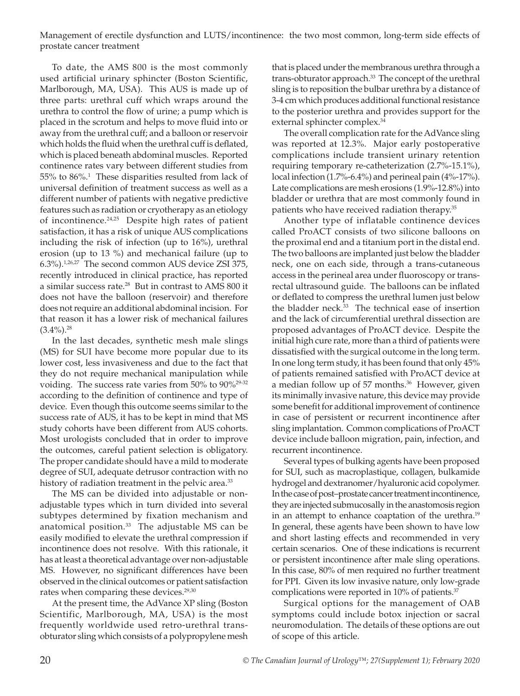To date, the AMS 800 is the most commonly used artificial urinary sphincter (Boston Scientific, Marlborough, MA, USA). This AUS is made up of three parts: urethral cuff which wraps around the urethra to control the flow of urine; a pump which is placed in the scrotum and helps to move fluid into or away from the urethral cuff; and a balloon or reservoir which holds the fluid when the urethral cuff is deflated, which is placed beneath abdominal muscles. Reported continence rates vary between different studies from 55% to 86%.<sup>1</sup> These disparities resulted from lack of universal definition of treatment success as well as a different number of patients with negative predictive features such as radiation or cryotherapy as an etiology of incontinence.<sup>24,25</sup> Despite high rates of patient satisfaction, it has a risk of unique AUS complications including the risk of infection (up to 16%), urethral erosion (up to 13 %) and mechanical failure (up to 6.3%).1,26,27 The second common AUS device ZSI 375, recently introduced in clinical practice, has reported a similar success rate.28 But in contrast to AMS 800 it does not have the balloon (reservoir) and therefore does not require an additional abdominal incision. For that reason it has a lower risk of mechanical failures  $(3.4\%)$ <sup>28</sup>

In the last decades, synthetic mesh male slings (MS) for SUI have become more popular due to its lower cost, less invasiveness and due to the fact that they do not require mechanical manipulation while voiding. The success rate varies from 50% to 90%<sup>29-32</sup> according to the definition of continence and type of device. Even though this outcome seems similar to the success rate of AUS, it has to be kept in mind that MS study cohorts have been different from AUS cohorts. Most urologists concluded that in order to improve the outcomes, careful patient selection is obligatory. The proper candidate should have a mild to moderate degree of SUI, adequate detrusor contraction with no history of radiation treatment in the pelvic area.<sup>33</sup>

The MS can be divided into adjustable or nonadjustable types which in turn divided into several subtypes determined by fixation mechanism and anatomical position. $33$  The adjustable MS can be easily modified to elevate the urethral compression if incontinence does not resolve. With this rationale, it has at least a theoretical advantage over non-adjustable MS. However, no significant differences have been observed in the clinical outcomes or patient satisfaction rates when comparing these devices.<sup>29,30</sup>

At the present time, the AdVance XP sling (Boston Scientific, Marlborough, MA, USA) is the most frequently worldwide used retro-urethral transobturator sling which consists of a polypropylene mesh that is placed under the membranous urethra through a trans-obturator approach.<sup>33</sup> The concept of the urethral sling is to reposition the bulbar urethra by a distance of 3-4 cm which produces additional functional resistance to the posterior urethra and provides support for the external sphincter complex.<sup>34</sup>

The overall complication rate for the AdVance sling was reported at 12.3%. Major early postoperative complications include transient urinary retention requiring temporary re-catheterization (2.7%-15.1%), local infection (1.7%-6.4%) and perineal pain (4%-17%). Late complications are mesh erosions (1.9%-12.8%) into bladder or urethra that are most commonly found in patients who have received radiation therapy.<sup>35</sup>

Another type of inflatable continence devices called ProACT consists of two silicone balloons on the proximal end and a titanium port in the distal end. The two balloons are implanted just below the bladder neck, one on each side, through a trans-cutaneous access in the perineal area under fluoroscopy or transrectal ultrasound guide. The balloons can be inflated or deflated to compress the urethral lumen just below the bladder neck.<sup>33</sup> The technical ease of insertion and the lack of circumferential urethral dissection are proposed advantages of ProACT device. Despite the initial high cure rate, more than a third of patients were dissatisfied with the surgical outcome in the long term. In one long term study, it has been found that only 45% of patients remained satisfied with ProACT device at a median follow up of 57 months.<sup>36</sup> However, given its minimally invasive nature, this device may provide some benefit for additional improvement of continence in case of persistent or recurrent incontinence after sling implantation. Common complications of ProACT device include balloon migration, pain, infection, and recurrent incontinence.

Several types of bulking agents have been proposed for SUI, such as macroplastique, collagen, bulkamide hydrogel and dextranomer/hyaluronic acid copolymer. In the case of post–prostate cancer treatment incontinence, they are injected submucosally in the anastomosis region in an attempt to enhance coaptation of the urethra.<sup>19</sup> In general, these agents have been shown to have low and short lasting effects and recommended in very certain scenarios. One of these indications is recurrent or persistent incontinence after male sling operations. In this case, 80% of men required no further treatment for PPI. Given its low invasive nature, only low-grade complications were reported in 10% of patients.<sup>37</sup>

Surgical options for the management of OAB symptoms could include botox injection or sacral neuromodulation. The details of these options are out of scope of this article.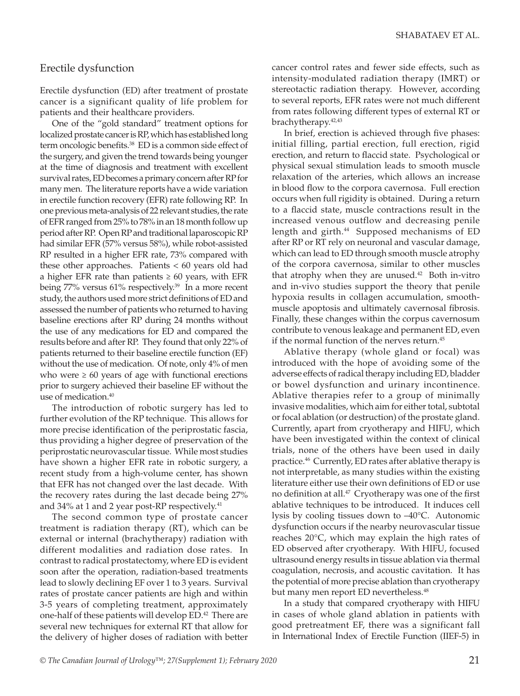## Erectile dysfunction

Erectile dysfunction (ED) after treatment of prostate cancer is a significant quality of life problem for patients and their healthcare providers.

One of the "gold standard" treatment options for localized prostate cancer is RP, which has established long term oncologic benefits.38 ED is a common side effect of the surgery, and given the trend towards being younger at the time of diagnosis and treatment with excellent survival rates, ED becomes a primary concern after RP for many men. The literature reports have a wide variation in erectile function recovery (EFR) rate following RP. In one previous meta-analysis of 22 relevant studies, the rate of EFR ranged from 25% to 78% in an 18 month follow up period after RP. Open RP and traditional laparoscopic RP had similar EFR (57% versus 58%), while robot-assisted RP resulted in a higher EFR rate, 73% compared with these other approaches. Patients < 60 years old had a higher EFR rate than patients  $\geq 60$  years, with EFR being 77% versus 61% respectively.<sup>39</sup> In a more recent study, the authors used more strict definitions of ED and assessed the number of patients who returned to having baseline erections after RP during 24 months without the use of any medications for ED and compared the results before and after RP. They found that only 22% of patients returned to their baseline erectile function (EF) without the use of medication. Of note, only 4% of men who were  $\geq 60$  years of age with functional erections prior to surgery achieved their baseline EF without the use of medication.<sup>40</sup>

The introduction of robotic surgery has led to further evolution of the RP technique. This allows for more precise identification of the periprostatic fascia, thus providing a higher degree of preservation of the periprostatic neurovascular tissue. While most studies have shown a higher EFR rate in robotic surgery, a recent study from a high-volume center, has shown that EFR has not changed over the last decade. With the recovery rates during the last decade being 27% and 34% at 1 and 2 year post-RP respectively.<sup>41</sup>

The second common type of prostate cancer treatment is radiation therapy (RT), which can be external or internal (brachytherapy) radiation with different modalities and radiation dose rates. In contrast to radical prostatectomy, where ED is evident soon after the operation, radiation-based treatments lead to slowly declining EF over 1 to 3 years. Survival rates of prostate cancer patients are high and within 3-5 years of completing treatment, approximately one-half of these patients will develop ED.<sup>42</sup> There are several new techniques for external RT that allow for the delivery of higher doses of radiation with better

cancer control rates and fewer side effects, such as intensity-modulated radiation therapy (IMRT) or stereotactic radiation therapy. However, according to several reports, EFR rates were not much different from rates following different types of external RT or brachytherapy.42,43

In brief, erection is achieved through five phases: initial filling, partial erection, full erection, rigid erection, and return to flaccid state. Psychological or physical sexual stimulation leads to smooth muscle relaxation of the arteries, which allows an increase in blood flow to the corpora cavernosa. Full erection occurs when full rigidity is obtained. During a return to a flaccid state, muscle contractions result in the increased venous outflow and decreasing penile length and girth.<sup>44</sup> Supposed mechanisms of ED after RP or RT rely on neuronal and vascular damage, which can lead to ED through smooth muscle atrophy of the corpora cavernosa, similar to other muscles that atrophy when they are unused. $42$  Both in-vitro and in-vivo studies support the theory that penile hypoxia results in collagen accumulation, smoothmuscle apoptosis and ultimately cavernosal fibrosis. Finally, these changes within the corpus cavernosum contribute to venous leakage and permanent ED, even if the normal function of the nerves return.<sup>45</sup>

Ablative therapy (whole gland or focal) was introduced with the hope of avoiding some of the adverse effects of radical therapy including ED, bladder or bowel dysfunction and urinary incontinence. Ablative therapies refer to a group of minimally invasive modalities, which aim for either total, subtotal or focal ablation (or destruction) of the prostate gland. Currently, apart from cryotherapy and HIFU, which have been investigated within the context of clinical trials, none of the others have been used in daily practice.46 Currently, ED rates after ablative therapy is not interpretable, as many studies within the existing literature either use their own definitions of ED or use no definition at all.<sup>47</sup> Cryotherapy was one of the first ablative techniques to be introduced. It induces cell lysis by cooling tissues down to –40°C. Autonomic dysfunction occurs if the nearby neurovascular tissue reaches 20°C, which may explain the high rates of ED observed after cryotherapy. With HIFU, focused ultrasound energy results in tissue ablation via thermal coagulation, necrosis, and acoustic cavitation. It has the potential of more precise ablation than cryotherapy but many men report ED nevertheless.<sup>48</sup>

In a study that compared cryotherapy with HIFU in cases of whole gland ablation in patients with good pretreatment EF, there was a significant fall in International Index of Erectile Function (IIEF-5) in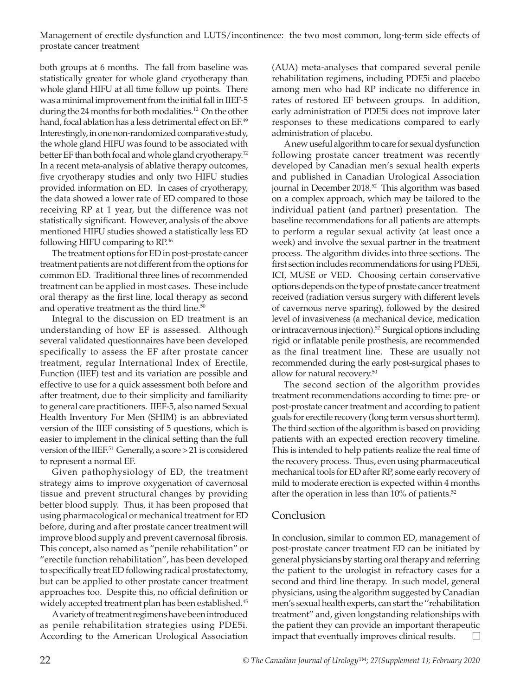both groups at 6 months. The fall from baseline was statistically greater for whole gland cryotherapy than whole gland HIFU at all time follow up points. There was a minimal improvement from the initial fall in IIEF-5 during the 24 months for both modalities.<sup>12</sup> On the other hand, focal ablation has a less detrimental effect on EF.<sup>49</sup> Interestingly, in one non-randomized comparative study, the whole gland HIFU was found to be associated with better EF than both focal and whole gland cryotherapy.<sup>12</sup> In a recent meta-analysis of ablative therapy outcomes, five cryotherapy studies and only two HIFU studies provided information on ED. In cases of cryotherapy, the data showed a lower rate of ED compared to those receiving RP at 1 year, but the difference was not statistically significant. However, analysis of the above mentioned HIFU studies showed a statistically less ED following HIFU comparing to RP.46

The treatment options for ED in post-prostate cancer treatment patients are not different from the options for common ED. Traditional three lines of recommended treatment can be applied in most cases. These include oral therapy as the first line, local therapy as second and operative treatment as the third line.<sup>50</sup>

Integral to the discussion on ED treatment is an understanding of how EF is assessed. Although several validated questionnaires have been developed specifically to assess the EF after prostate cancer treatment, regular International Index of Erectile, Function (IIEF) test and its variation are possible and effective to use for a quick assessment both before and after treatment, due to their simplicity and familiarity to general care practitioners. IIEF-5, also named Sexual Health Inventory For Men (SHIM) is an abbreviated version of the IIEF consisting of 5 questions, which is easier to implement in the clinical setting than the full version of the IIEF.<sup>51</sup> Generally, a score > 21 is considered to represent a normal EF.

Given pathophysiology of ED, the treatment strategy aims to improve oxygenation of cavernosal tissue and prevent structural changes by providing better blood supply. Thus, it has been proposed that using pharmacological or mechanical treatment for ED before, during and after prostate cancer treatment will improve blood supply and prevent cavernosal fibrosis. This concept, also named as "penile rehabilitation" or "erectile function rehabilitation", has been developed to specifically treat ED following radical prostatectomy, but can be applied to other prostate cancer treatment approaches too. Despite this, no official definition or widely accepted treatment plan has been established.<sup>45</sup>

A variety of treatment regimens have been introduced as penile rehabilitation strategies using PDE5i. According to the American Urological Association

(AUA) meta-analyses that compared several penile rehabilitation regimens, including PDE5i and placebo among men who had RP indicate no difference in rates of restored EF between groups. In addition, early administration of PDE5i does not improve later responses to these medications compared to early administration of placebo.

A new useful algorithm to care for sexual dysfunction following prostate cancer treatment was recently developed by Canadian men's sexual health experts and published in Canadian Urological Association journal in December 2018.<sup>52</sup> This algorithm was based on a complex approach, which may be tailored to the individual patient (and partner) presentation. The baseline recommendations for all patients are attempts to perform a regular sexual activity (at least once a week) and involve the sexual partner in the treatment process. The algorithm divides into three sections. The first section includes recommendations for using PDE5i, ICI, MUSE or VED. Choosing certain conservative options depends on the type of prostate cancer treatment received (radiation versus surgery with different levels of cavernous nerve sparing), followed by the desired level of invasiveness (a mechanical device, medication or intracavernous injection).52 Surgical options including rigid or inflatable penile prosthesis, are recommended as the final treatment line. These are usually not recommended during the early post-surgical phases to allow for natural recovery.50

The second section of the algorithm provides treatment recommendations according to time: pre- or post-prostate cancer treatment and according to patient goals for erectile recovery (long term versus short term). The third section of the algorithm is based on providing patients with an expected erection recovery timeline. This is intended to help patients realize the real time of the recovery process. Thus, even using pharmaceutical mechanical tools for ED after RP, some early recovery of mild to moderate erection is expected within 4 months after the operation in less than  $10\%$  of patients.<sup>52</sup>

# Conclusion

In conclusion, similar to common ED, management of post-prostate cancer treatment ED can be initiated by general physicians by starting oral therapy and referring the patient to the urologist in refractory cases for a second and third line therapy. In such model, general physicians, using the algorithm suggested by Canadian men's sexual health experts, can start the ''rehabilitation treatment'' and, given longstanding relationships with the patient they can provide an important therapeutic impact that eventually improves clinical results.  $\Box$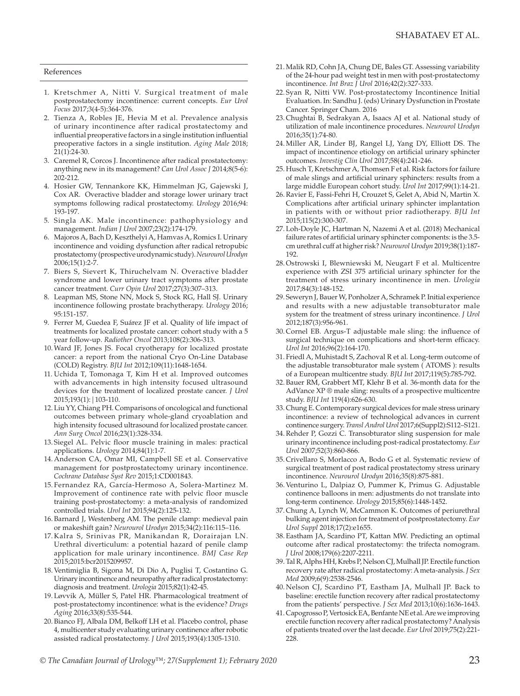#### References

- 1. Kretschmer A, Nitti V. Surgical treatment of male postprostatectomy incontinence: current concepts. *Eur Urol Focus* 2017;3(4-5):364-376.
- 2. Tienza A, Robles JE, Hevia M et al. Prevalence analysis of urinary incontinence after radical prostatectomy and influential preoperative factors in a single institution influential preoperative factors in a single institution. *Aging Male* 2018; 21(1):24-30.
- 3. Caremel R, Corcos J. Incontinence after radical prostatectomy: anything new in its management? *Can Urol Assoc J* 2014;8(5-6): 202-212.
- 4. Hosier GW, Tennankore KK, Himmelman JG, Gajewski J, Cox AR. Overactive bladder and storage lower urinary tract symptoms following radical prostatectomy. *Urology* 2016;94: 193-197.
- 5. Singla AK. Male incontinence: pathophysiology and management. *Indian J Urol* 2007;23(2):174-179.
- 6. Majoros A, Bach D, Keszthelyi A, Hamvas A, Romics I. Urinary incontinence and voiding dysfunction after radical retropubic prostatectomy (prospective urodynamic study). *Neurourol Urodyn* 2006;15(1):2-7.
- 7. Biers S, Sievert K, Thiruchelvam N. Overactive bladder syndrome and lower urinary tract symptoms after prostate cancer treatment. *Curr Opin Urol* 2017;27(3):307–313.
- 8. Leapman MS, Stone NN, Mock S, Stock RG, Hall SJ. Urinary incontinence following prostate brachytherapy. *Urology* 2016; 95:151-157.
- 9. Ferrer M, Guedea F, Suárez JF et al. Quality of life impact of treatments for localized prostate cancer: cohort study with a 5 year follow-up. *Radiother Oncol* 2013;108(2):306-313.
- 10.Ward JF, Jones JS. Focal cryotherapy for localized prostate cancer: a report from the national Cryo On-Line Database (COLD) Registry. *BJU Int* 2012;109(11):1648-1654.
- 11. Uchida T, Tomonaga T, Kim H et al. Improved outcomes with advancements in high intensity focused ultrasound devices for the treatment of localized prostate cancer. *J Urol*  2015;193(1):|103-110.
- 12. Liu YY, Chiang PH. Comparisons of oncological and functional outcomes between primary whole-gland cryoablation and high intensity focused ultrasound for localized prostate cancer. *Ann Surg Oncol* 2016;23(1):328-334.
- 13. Siegel AL. Pelvic floor muscle training in males: practical applications. *Urology* 2014;84(1):1-7.
- 14. Anderson CA, Omar MI, Campbell SE et al. Conservative management for postprostatectomy urinary incontinence. *Cochrane Database Syst Rev* 2015;1:CD001843.
- 15. Fernandez RA, García-Hermoso A, Solera-Martinez M. Improvement of continence rate with pelvic floor muscle training post-prostatectomy: a meta-analysis of randomized controlled trials. *Urol Int* 2015;94(2):125-132.
- 16. Barnard J, Westenberg AM. The penile clamp: medieval pain or makeshift gain? *Neurourol Urodyn* 2015;34(2):116:115–116.
- 17. Kalra S, Srinivas PR, Manikandan R, Dorairajan LN. Urethral diverticulum: a potential hazard of penile clamp application for male urinary incontinence. *BMJ Case Rep* 2015;2015:bcr2015209957.
- 18. Ventimiglia B, Sigona M, Di Dio A, Puglisi T, Costantino G. Urinary incontinence and neuropathy after radical prostatectomy: diagnosis and treatment. *Urologia* 2015;82(1):42-45.
- 19. Løvvik A, Müller S, Patel HR. Pharmacological treatment of post-prostatectomy incontinence: what is the evidence? *Drugs Aging* 2016;33(8):535-544.
- 20. Bianco FJ, Albala DM, Belkoff LH et al. Placebo control, phase 4, multicenter study evaluating urinary continence after robotic assisted radical prostatectomy. *J Urol* 2015;193(4):1305-1310.
- 21.Malik RD, Cohn JA, Chung DE, Bales GT. Assessing variability of the 24-hour pad weight test in men with post-prostatectomy incontinence. *Int Braz J Urol* 2016;42(2):327-333.
- 22. Syan R, Nitti VW. Post-prostatectomy Incontinence Initial Evaluation. In: Sandhu J. (eds) Urinary Dysfunction in Prostate Cancer. Springer Cham. 2016
- 23. Chughtai B, Sedrakyan A, Isaacs AJ et al. National study of utilization of male incontinence procedures. *Neurourol Urodyn* 2016;35(1):74-80.
- 24.Miller AR, Linder BJ, Rangel LJ, Yang DY, Elliott DS. The impact of incontinence etiology on artificial urinary sphincter outcomes. *Investig Clin Urol* 2017;58(4):241-246.
- 25. Husch T, Kretschmer A, Thomsen F et al. Risk factors for failure of male slings and artificial urinary sphincters: results from a large middle European cohort study. *Urol Int* 2017;99(1):14-21.
- 26.Ravier E, Fassi-Fehri H, Crouzet S, Gelet A, Abid N, Martin X. Complications after artificial urinary sphincter implantation in patients with or without prior radiotherapy. *BJU Int* 2015;115(2):300-307.
- 27. Loh-Doyle JC, Hartman N, Nazemi A et al. (2018) Mechanical failure rates of artificial urinary sphincter components: is the 3.5 cm urethral cuff at higher risk? *Neurourol Urodyn* 2019;38(1):187- 192.
- 28.Ostrowski I, Blewniewski M, Neugart F et al. Multicentre experience with ZSI 375 artificial urinary sphincter for the treatment of stress urinary incontinence in men. *Urologia* 2017;84(3):148-152.
- 29. Seweryn J, Bauer W, Ponholzer A, Schramek P. Initial experience and results with a new adjustable transobturator male system for the treatment of stress urinary incontinence. *J Urol*  2012;187(3):956-961.
- 30. Cornel EB. Argus-T adjustable male sling: the influence of surgical technique on complications and short-term efficacy. *Urol Int* 2016;96(2):164-170.
- 31. Friedl A, Muhistadt S, Zachoval R et al. Long-term outcome of the adjustable transobturator male system ( ATOMS ): results of a European multicentre study. *BJU Int* 2017;119(5):785-792.
- 32. Bauer RM, Grabbert MT, Klehr B et al. 36-month data for the AdVance XP ® male sling: results of a prospective multicentre study. *BJU Int* 119(4):626-630.
- 33. Chung E. Contemporary surgical devices for male stress urinary incontinence: a review of technological advances in current continence surgery. *Transl Androl Urol* 2017;6(Suppl2):S112–S121.
- 34.Rehder P, Gozzi C. Transobturator sling suspension for male urinary incontinence including post-radical prostatectomy. *Eur Urol* 2007;52(3):860-866.
- 35. Crivellaro S, Morlacco A, Bodo G et al. Systematic review of surgical treatment of post radical prostatectomy stress urinary incontinence. *Neurourol Urodyn* 2016;35(8):875-881.
- 36. Venturino L, Dalpiaz O, Pummer K, Primus G. Adjustable continence balloons in men: adjustments do not translate into long-term continence. *Urology* 2015;85(6):1448-1452.
- 37. Chung A, Lynch W, McCammon K. Outcomes of periurethral bulking agent injection for treatment of postprostatectomy. *Eur Urol Suppl* 2018;17(2):e1655.
- 38. Eastham JA, Scardino PT, Kattan MW. Predicting an optimal outcome after radical prostatectomy: the trifecta nomogram. *J Urol* 2008;179(6):2207-2211.
- 39. Tal R, Alphs HH, Krebs P, Nelson CJ, Mulhall JP. Erectile function recovery rate after radical prostatectomy: A meta-analysis. *J Sex Med* 2009;6(9):2538-2546.
- 40. Nelson CJ, Scardino PT, Eastham JA, Mulhall JP. Back to baseline: erectile function recovery after radical prostatectomy from the patients' perspective. *J Sex Med* 2013;10(6):1636-1643.
- 41. Capogrosso P, Vertosick EA, Benfante NE et al. Are we improving erectile function recovery after radical prostatectomy? Analysis of patients treated over the last decade. *Eur Urol* 2019;75(2):221- 228.